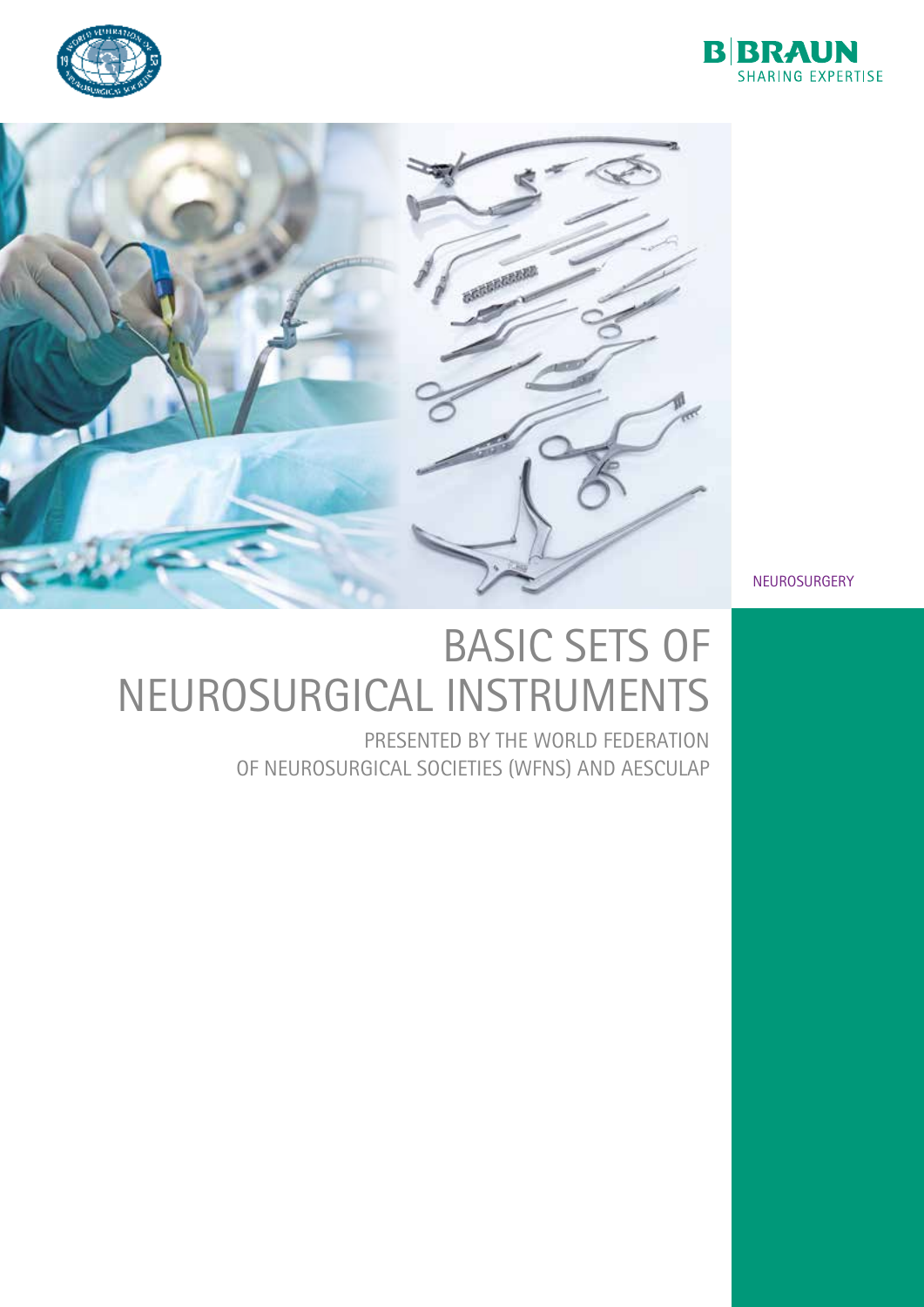





NEUROSURGERY

## BASIC SETS OF NEUROSURGICAL INSTRUMENTS

PRESENTED BY THE WORLD FEDERATION OF NEUROSURGICAL SOCIETIES (WFNS) AND AESCULAP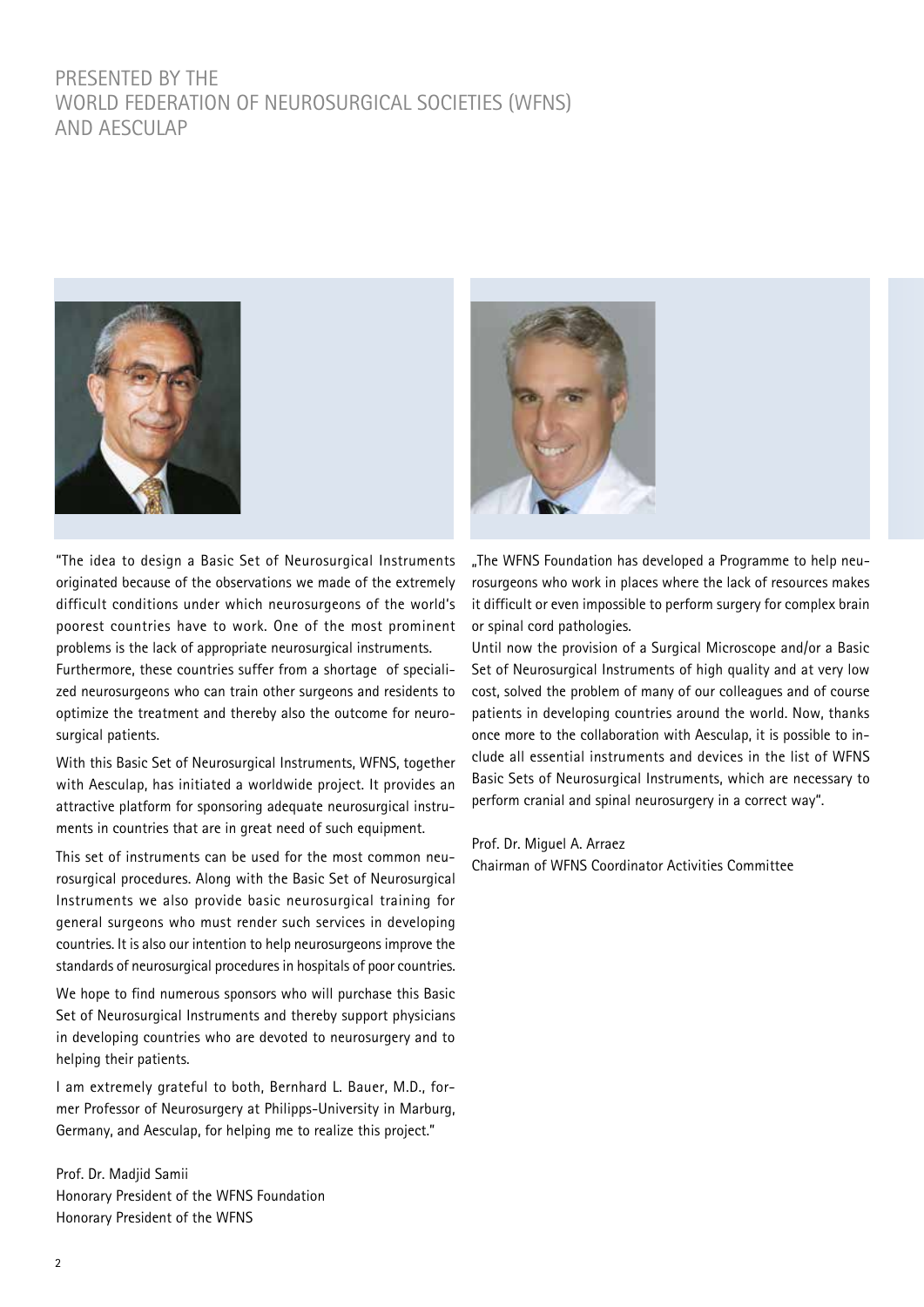#### PRESENTED BY THE WORLD FEDERATION OF NEUROSURGICAL SOCIETIES (WFNS) AND AFSCULAP



"The idea to design a Basic Set of Neurosurgical Instruments originated because of the observations we made of the extremely difficult conditions under which neurosurgeons of the world's poorest countries have to work. One of the most prominent problems is the lack of appropriate neurosurgical instruments.

Furthermore, these countries suffer from a shortage of specialized neurosurgeons who can train other surgeons and residents to optimize the treatment and thereby also the outcome for neurosurgical patients.

With this Basic Set of Neurosurgical Instruments, WFNS, together with Aesculap, has initiated a worldwide project. It provides an attractive platform for sponsoring adequate neurosurgical instruments in countries that are in great need of such equipment.

This set of instruments can be used for the most common neurosurgical procedures. Along with the Basic Set of Neurosurgical Instruments we also provide basic neurosurgical training for general surgeons who must render such services in developing countries. It is also our intention to help neurosurgeons improve the standards of neurosurgical procedures in hospitals of poor countries.

We hope to find numerous sponsors who will purchase this Basic Set of Neurosurgical Instruments and thereby support physicians in developing countries who are devoted to neurosurgery and to helping their patients.

I am extremely grateful to both, Bernhard L. Bauer, M.D., former Professor of Neurosurgery at Philipps-University in Marburg, Germany, and Aesculap, for helping me to realize this project."

Prof. Dr. Madjid Samii Honorary President of the WFNS Foundation Honorary President of the WFNS



"The WFNS Foundation has developed a Programme to help neurosurgeons who work in places where the lack of resources makes it difficult or even impossible to perform surgery for complex brain or spinal cord pathologies.

Until now the provision of a Surgical Microscope and/or a Basic Set of Neurosurgical Instruments of high quality and at very low cost, solved the problem of many of our colleagues and of course patients in developing countries around the world. Now, thanks once more to the collaboration with Aesculap, it is possible to include all essential instruments and devices in the list of WFNS Basic Sets of Neurosurgical Instruments, which are necessary to perform cranial and spinal neurosurgery in a correct way".

#### Prof. Dr. Miguel A. Arraez

Chairman of WFNS Coordinator Activities Committee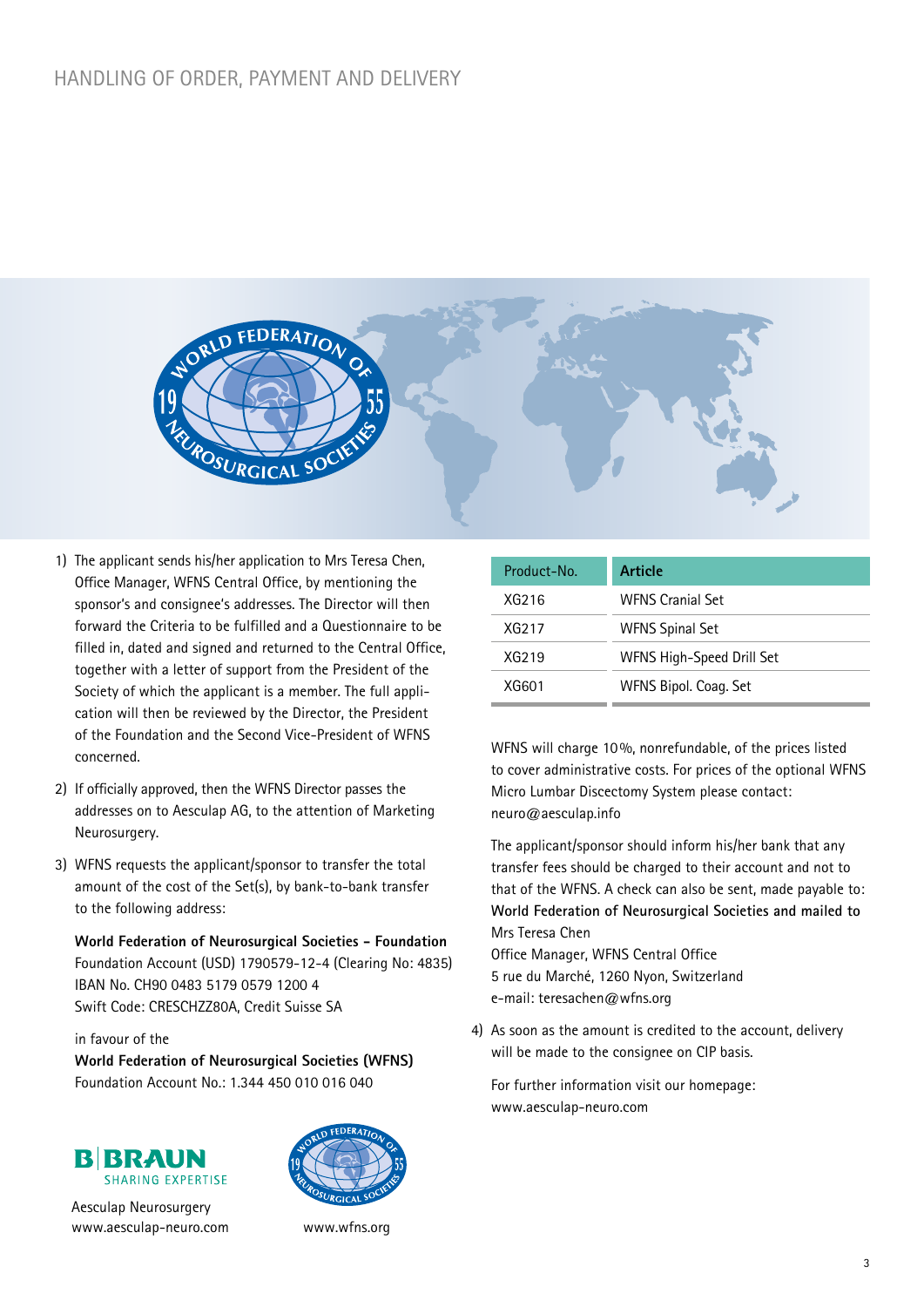

- 1) The applicant sends his/her application to Mrs Teresa Chen, Office Manager, WFNS Central Office, by mentioning the sponsor's and consignee's addresses. The Director will then forward the Criteria to be fulfilled and a Questionnaire to be filled in, dated and signed and returned to the Central Office, together with a letter of support from the President of the Society of which the applicant is a member. The full application will then be reviewed by the Director, the President of the Foundation and the Second Vice-President of WFNS concerned.
- 2) If officially approved, then the WFNS Director passes the addresses on to Aesculap AG, to the attention of Marketing Neurosurgery.
- 3) WFNS requests the applicant/sponsor to transfer the total amount of the cost of the Set(s), by bank-to-bank transfer to the following address:

**World Federation of Neurosurgical Societies - Foundation** Foundation Account (USD) 1790579-12-4 (Clearing No: 4835) IBAN No. CH90 0483 5179 0579 1200 4 Swift Code: CRESCHZZ80A, Credit Suisse SA

#### in favour of the

**World Federation of Neurosurgical Societies (WFNS)** Foundation Account No.: 1.344 450 010 016 040





Aesculap Neurosurgery www.aesculap-neuro.com



www.wfns.org

| <b>Article</b>            |
|---------------------------|
| <b>WFNS Cranial Set</b>   |
| <b>WFNS Spinal Set</b>    |
| WFNS High-Speed Drill Set |
| WFNS Bipol. Coag. Set     |
|                           |

WFNS will charge 10%, nonrefundable, of the prices listed to cover administrative costs. For prices of the optional WFNS Micro Lumbar Discectomy System please contact: neuro@aesculap.info

The applicant/sponsor should inform his/her bank that any transfer fees should be charged to their account and not to that of the WFNS. A check can also be sent, made payable to: **World Federation of Neurosurgical Societies and mailed to** Mrs Teresa Chen

Office Manager, WFNS Central Office 5 rue du Marché, 1260 Nyon, Switzerland e-mail: teresachen@wfns.org

4) As soon as the amount is credited to the account, delivery will be made to the consignee on CIP basis.

For further information visit our homepage: www.aesculap-neuro.com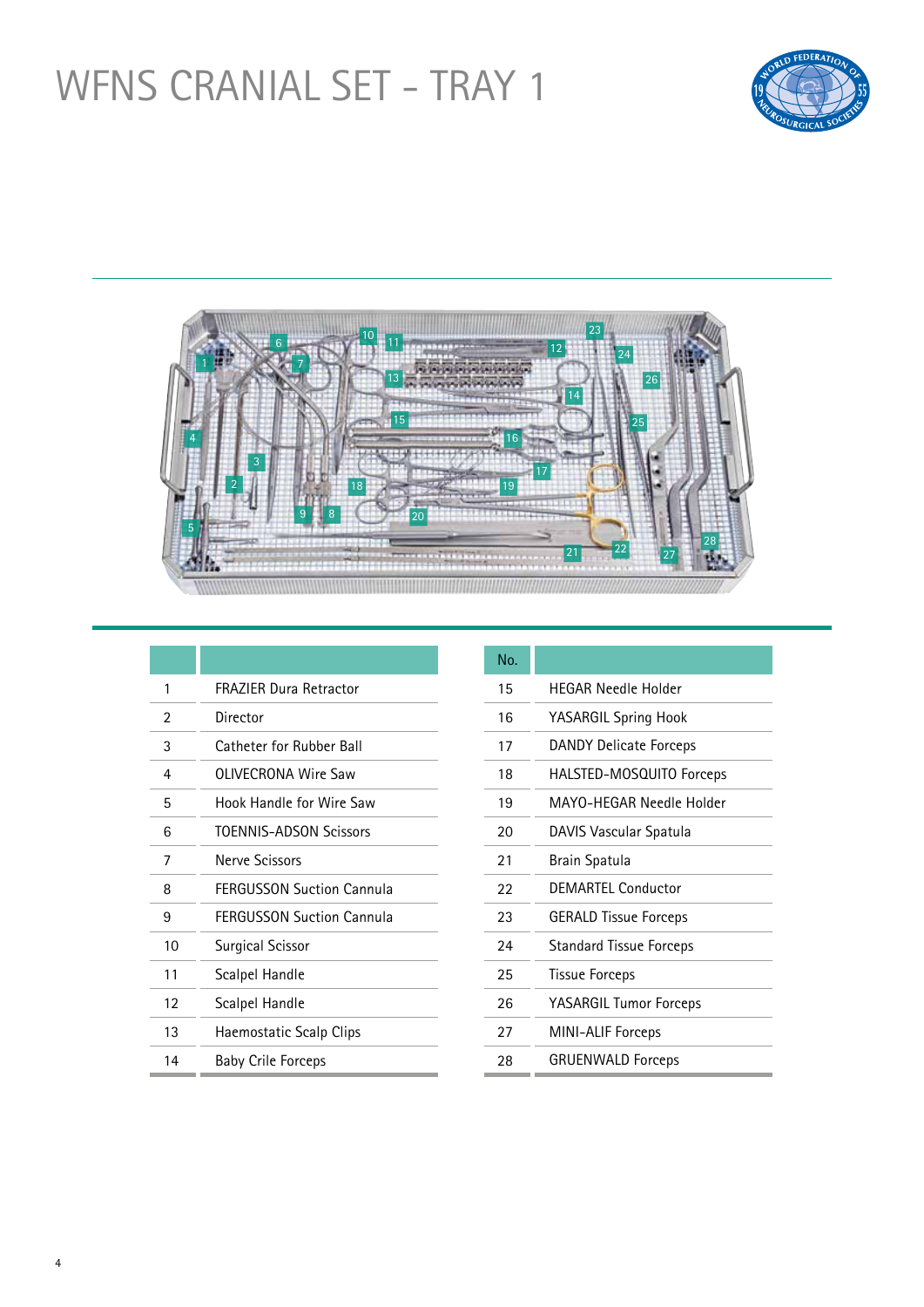### WFNS CRANIAL SET - TRAY 1





| 1  | <b>FRAZIER Dura Retractor</b>    |
|----|----------------------------------|
| 2  | Director                         |
| 3  | Catheter for Rubber Ball         |
| 4  | OLIVECRONA Wire Saw              |
| 5  | Hook Handle for Wire Saw         |
| 6  | <b>TOFNNIS-ADSON Scissors</b>    |
| 7  | Nerve Scissors                   |
| 8  | <b>FFRGUSSON Suction Cannula</b> |
| 9  | <b>FERGUSSON Suction Cannula</b> |
| 10 | Surgical Scissor                 |
| 11 | Scalpel Handle                   |
| 12 | Scalpel Handle                   |
| 13 | Haemostatic Scalp Clips          |
| 14 | <b>Baby Crile Forceps</b>        |

| No. |                                |
|-----|--------------------------------|
| 15  | <b>HFGAR Needle Holder</b>     |
| 16  | YASARGIL Spring Hook           |
| 17  | <b>DANDY Delicate Forceps</b>  |
| 18  | HALSTED-MOSQUITO Forceps       |
| 19  | MAYO-HFGAR Needle Holder       |
| 20  | DAVIS Vascular Spatula         |
| 21  | Brain Spatula                  |
| 22  | DEMARTEL Conductor             |
| 23  | <b>GERALD Tissue Forceps</b>   |
| 24  | <b>Standard Tissue Forceps</b> |
| 25  | <b>Tissue Forceps</b>          |
| 26  | YASARGIL Tumor Forceps         |
| 27  | MINI-ALIF Forceps              |
| 28  | <b>GRUENWALD Forceps</b>       |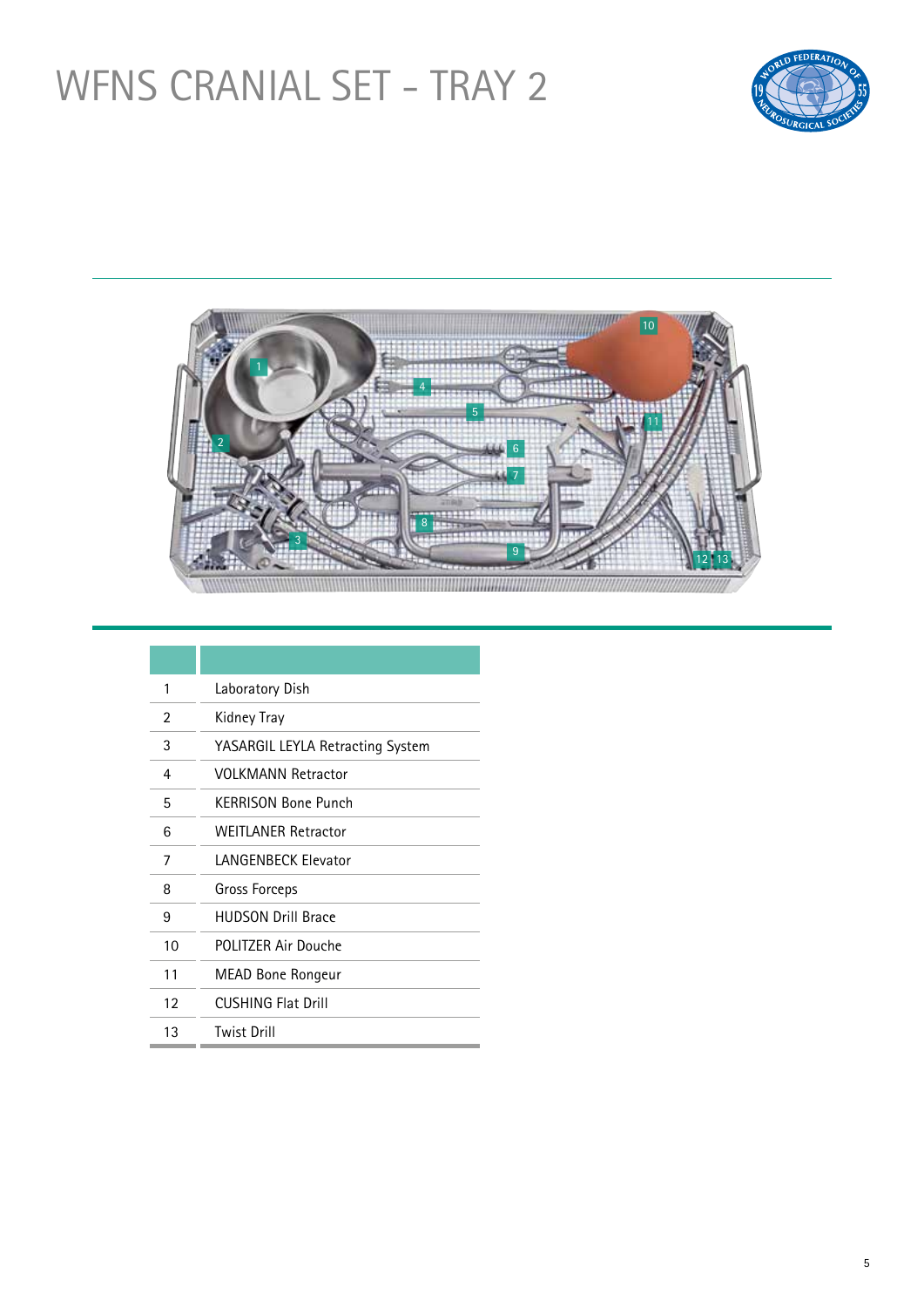### WFNS CRANIAL SET - TRAY 2





| 1  | Laboratory Dish                  |
|----|----------------------------------|
| 2  | Kidney Tray                      |
| 3  | YASARGIL LEYLA Retracting System |
| 4  | VOI KMANN Retractor              |
| 5  | <b>KFRRISON Bone Punch</b>       |
| 6  | <b>WEITLANER Retractor</b>       |
| 7  | <b>LANGENBECK Elevator</b>       |
| 8  | Gross Forceps                    |
| 9  | <b>HUDSON Drill Brace</b>        |
| 10 | POLITZER Air Douche              |
| 11 | MEAD Bone Rongeur                |
| 12 | <b>CUSHING Flat Drill</b>        |
| 13 | <b>Twist Drill</b>               |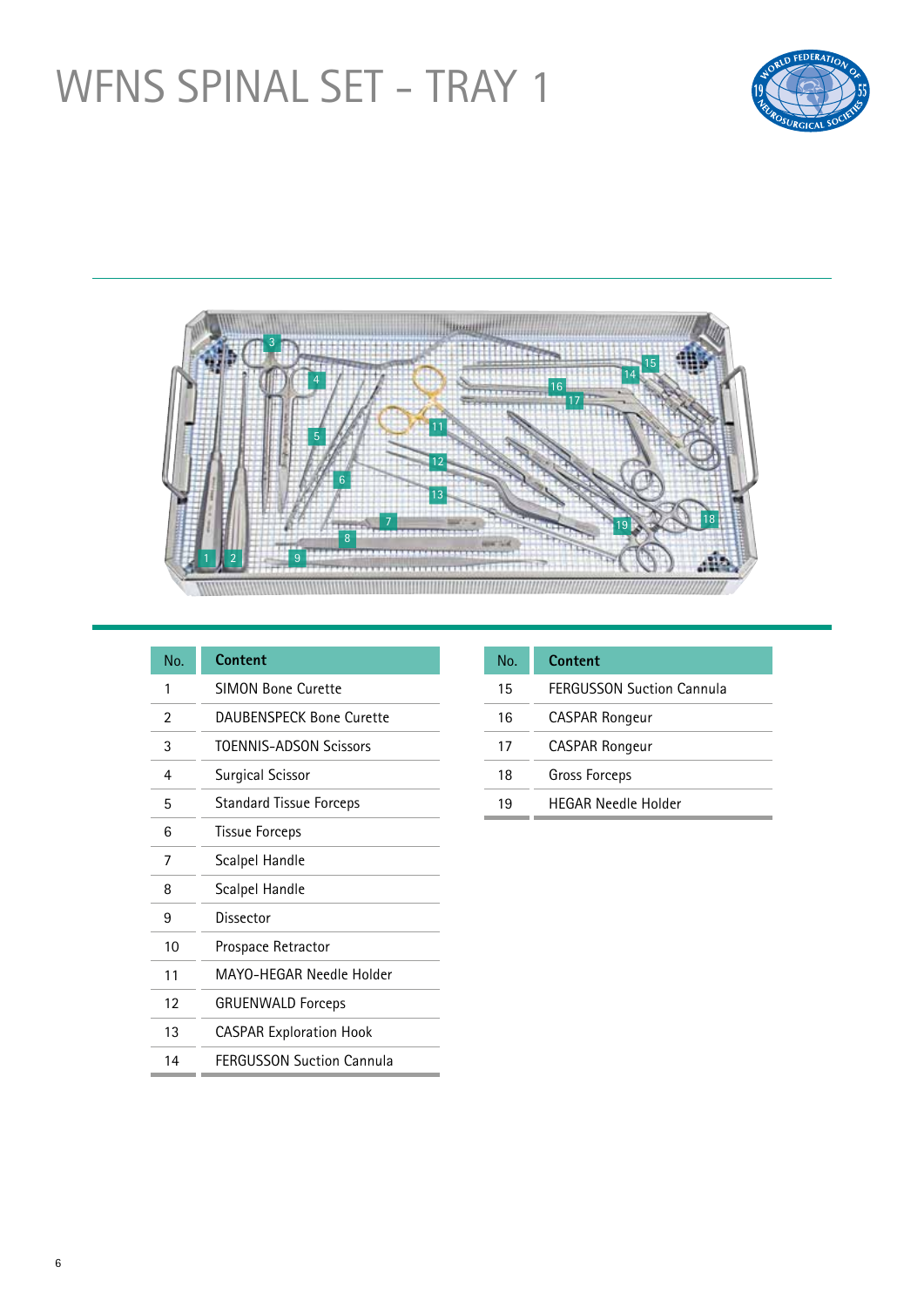## WFNS SPINAL SET - TRAY 1





| No. | <b>Content</b>                   |
|-----|----------------------------------|
| 1   | <b>SIMON Bone Curette</b>        |
| 2   | <b>DAUBENSPECK Bone Curette</b>  |
| 3   | <b>TOENNIS-ADSON Scissors</b>    |
| 4   | <b>Surgical Scissor</b>          |
| 5   | <b>Standard Tissue Forceps</b>   |
| 6   | <b>Tissue Forceps</b>            |
| 7   | Scalpel Handle                   |
| 8   | Scalpel Handle                   |
| 9   | Dissector                        |
| 10  | Prospace Retractor               |
| 11  | MAYO-HFGAR Needle Holder         |
| 12  | <b>GRUENWALD Forceps</b>         |
| 13  | <b>CASPAR Exploration Hook</b>   |
| 14  | <b>FERGUSSON Suction Cannula</b> |

| No. | Content                          |
|-----|----------------------------------|
| 15  | <b>FFRGUSSON Suction Cannula</b> |
| 16  | <b>CASPAR Rongeur</b>            |
| 17  | <b>CASPAR Rongeur</b>            |
| 18  | Gross Forceps                    |
| 19  | <b>HFGAR Needle Holder</b>       |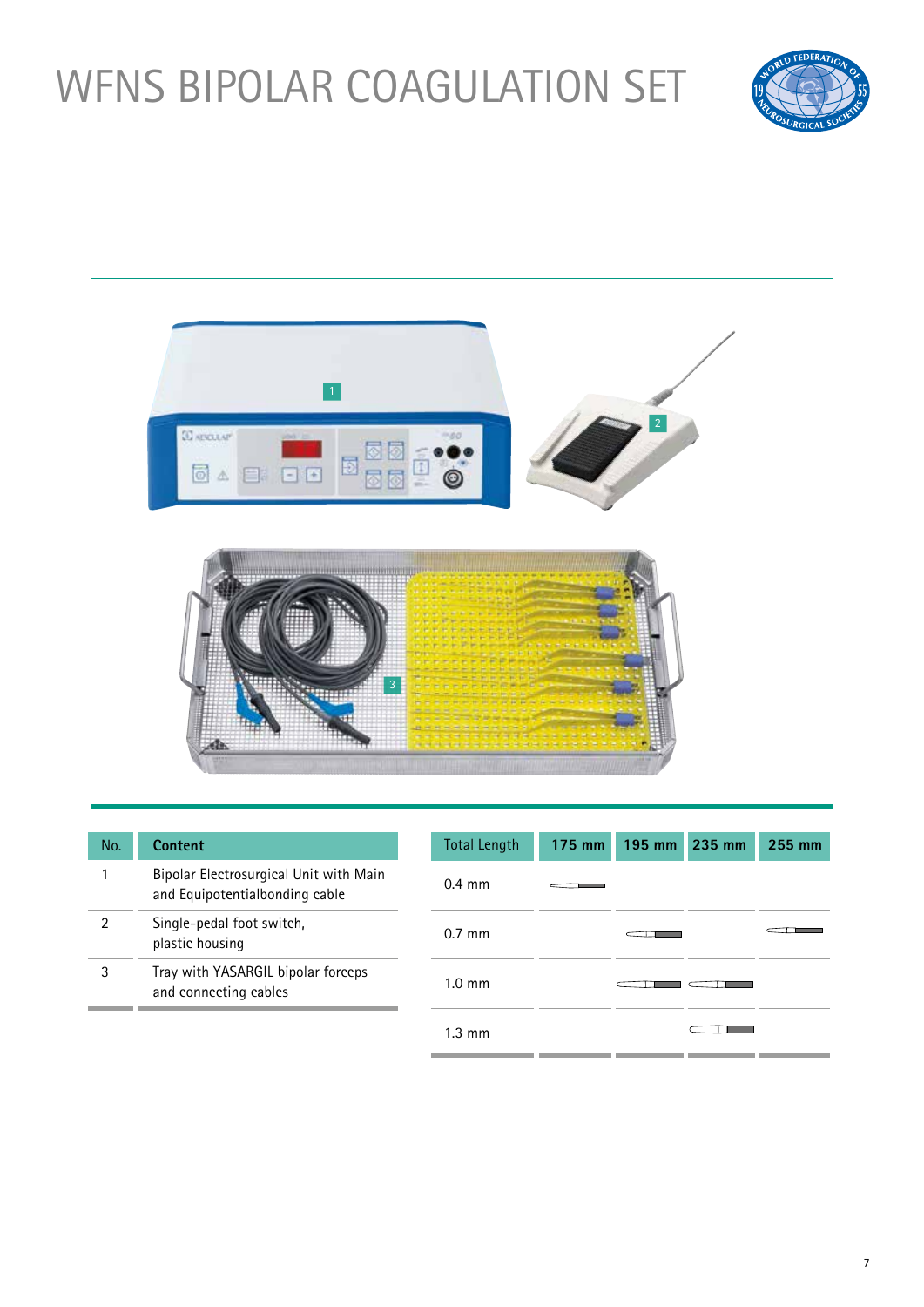# WFNS BIPOLAR COAGULATION SET





| No. | Content                                                                  | <b>Total Length</b> | 175 mm | 195 mm 235 mm | 255 mm |
|-----|--------------------------------------------------------------------------|---------------------|--------|---------------|--------|
|     | Bipolar Electrosurgical Unit with Main<br>and Equipotentialbonding cable | $0.4 \text{ mm}$    |        |               |        |
| 2   | Single-pedal foot switch,<br>plastic housing                             | $0.7$ mm            |        |               |        |
| 3   | Tray with YASARGIL bipolar forceps<br>and connecting cables              | $1.0 \text{ mm}$    |        |               |        |
|     |                                                                          | $1.3 \text{ mm}$    |        |               |        |

7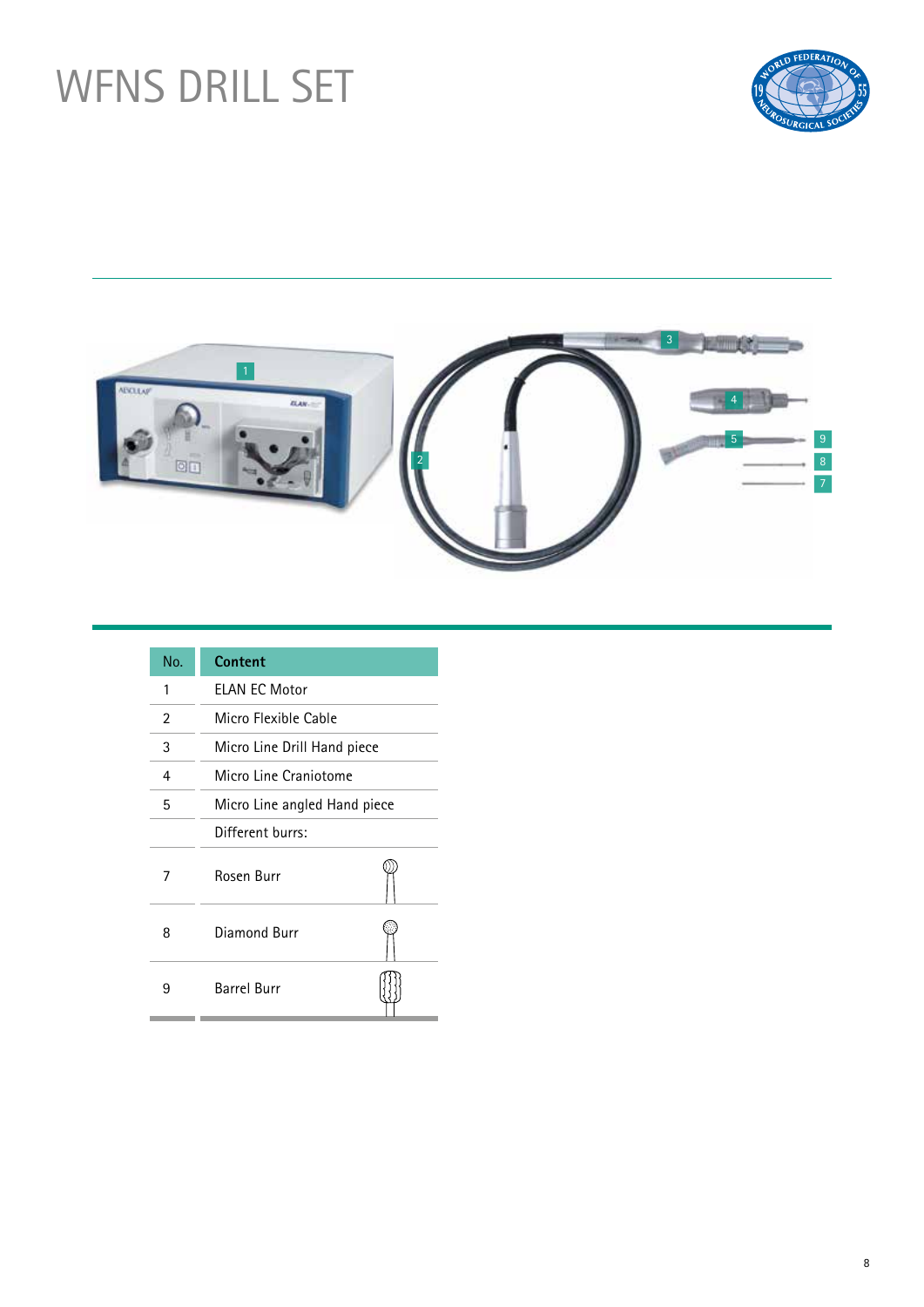# WFNS DRILL SET





| No. | Content                      |  |
|-----|------------------------------|--|
| 1   | <b>ELAN EC Motor</b>         |  |
| 2   | Micro Flexible Cable         |  |
| 3   | Micro Line Drill Hand piece  |  |
| 4   | Micro Line Craniotome        |  |
| 5   | Micro Line angled Hand piece |  |
|     | Different burrs:             |  |
| 7   | Rosen Burr                   |  |
| 8   | Diamond Burr                 |  |
| 9   | <b>Barrel Burr</b>           |  |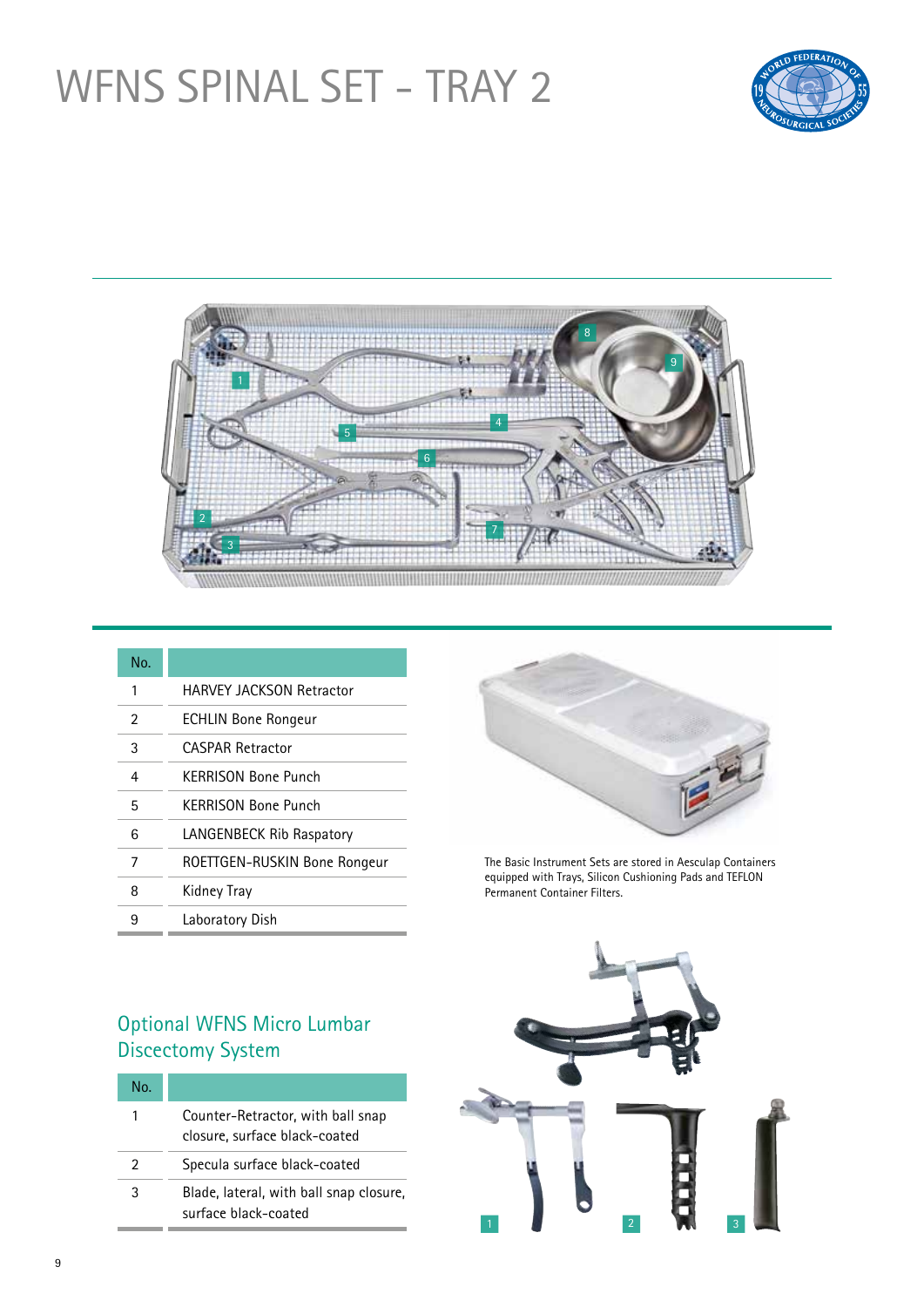## WFNS SPINAL SET - TRAY 2





| No. |                              |
|-----|------------------------------|
| 1   | HARVFY JACKSON Retractor     |
| 2   | <b>ECHLIN Bone Rongeur</b>   |
| 3   | CASPAR Retractor             |
| 4   | KFRRISON Bone Punch          |
| 5   | KERRISON Bone Punch          |
| 6   | LANGENBECK Rib Raspatory     |
| 7   | ROETTGEN-RUSKIN Bone Rongeur |
| 8   | Kidney Tray                  |
| 9   | Laboratory Dish              |



The Basic Instrument Sets are stored in Aesculap Containers equipped with Trays, Silicon Cushioning Pads and TEFLON Permanent Container Filters.

#### Optional WFNS Micro Lumbar Discectomy System

| No. |                                                                    |
|-----|--------------------------------------------------------------------|
| 1   | Counter-Retractor, with ball snap<br>closure, surface black-coated |
| 2   | Specula surface black-coated                                       |
| 3   | Blade, lateral, with ball snap closure,<br>surface black-coated    |
|     |                                                                    |